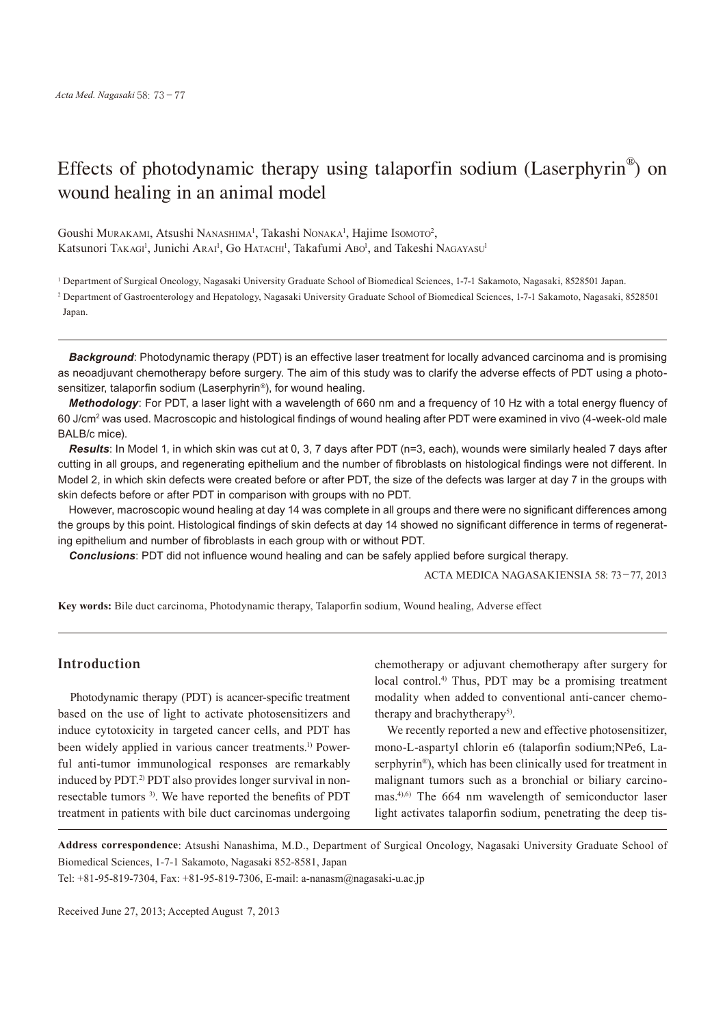# Effects of photodynamic therapy using talaporfin sodium (Laserphyrin®) on wound healing in an animal model

Goushi Murakami, Atsushi Nanashima<sup>1</sup>, Takashi Nonaka<sup>1</sup>, Hajime Isomoto<sup>2</sup>, Katsunori TAKAGI<sup>1</sup>, Junichi Arai<sup>1</sup>, Go HATACHI<sup>1</sup>, Takafumi Abo<sup>1</sup>, and Takeshi NAGAYASU<sup>1</sup>

<sup>1</sup> Department of Surgical Oncology, Nagasaki University Graduate School of Biomedical Sciences, 1-7-1 Sakamoto, Nagasaki, 8528501 Japan.

2 Department of Gastroenterology and Hepatology, Nagasaki University Graduate School of Biomedical Sciences, 1-7-1 Sakamoto, Nagasaki, 8528501 Japan.

*Background*: Photodynamic therapy (PDT) is an effective laser treatment for locally advanced carcinoma and is promising as neoadjuvant chemotherapy before surgery. The aim of this study was to clarify the adverse effects of PDT using a photosensitizer, talaporfin sodium (Laserphyrin®), for wound healing.

*Methodology*: For PDT, a laser light with a wavelength of 660 nm and a frequency of 10 Hz with a total energy fluency of 60 J/cm<sup>2</sup> was used. Macroscopic and histological findings of wound healing after PDT were examined in vivo (4-week-old male BALB/c mice).

*Results*: In Model 1, in which skin was cut at 0, 3, 7 days after PDT (n=3, each), wounds were similarly healed 7 days after cutting in all groups, and regenerating epithelium and the number of fibroblasts on histological findings were not different. In Model 2, in which skin defects were created before or after PDT, the size of the defects was larger at day 7 in the groups with skin defects before or after PDT in comparison with groups with no PDT.

However, macroscopic wound healing at day 14 was complete in all groups and there were no significant differences among the groups by this point. Histological findings of skin defects at day 14 showed no significant difference in terms of regenerating epithelium and number of fibroblasts in each group with or without PDT.

*Conclusions*: PDT did not influence wound healing and can be safely applied before surgical therapy.

ACTA MEDICA NAGASAKIENSIA 58: 73−77, 2013

**Key words:** Bile duct carcinoma, Photodynamic therapy, Talaporfin sodium, Wound healing, Adverse effect

# **Introduction**

Photodynamic therapy (PDT) is acancer-specific treatment based on the use of light to activate photosensitizers and induce cytotoxicity in targeted cancer cells, and PDT has been widely applied in various cancer treatments. 1) Powerful anti-tumor immunological responses are remarkably induced by PDT. 2) PDT also provides longer survival in nonresectable tumors<sup>3)</sup>. We have reported the benefits of PDT treatment in patients with bile duct carcinomas undergoing

chemotherapy or adjuvant chemotherapy after surgery for local control.<sup>4)</sup> Thus, PDT may be a promising treatment modality when added to conventional anti-cancer chemotherapy and brachytherapy<sup>5)</sup>.

We recently reported a new and effective photosensitizer, mono-L-aspartyl chlorin e6 (talaporfin sodium;NPe6, Laserphyrin®), which has been clinically used for treatment in malignant tumors such as a bronchial or biliary carcinomas.<sup>4),6)</sup> The 664 nm wavelength of semiconductor laser light activates talaporfin sodium, penetrating the deep tis-

**Address correspondence**: Atsushi Nanashima, M.D., Department of Surgical Oncology, Nagasaki University Graduate School of Biomedical Sciences, 1-7-1 Sakamoto, Nagasaki 852-8581, Japan

Tel: +81-95-819-7304, Fax: +81-95-819-7306, E-mail: a-nanasm@nagasaki-u.ac.jp

Received June 27, 2013; Accepted August 7, 2013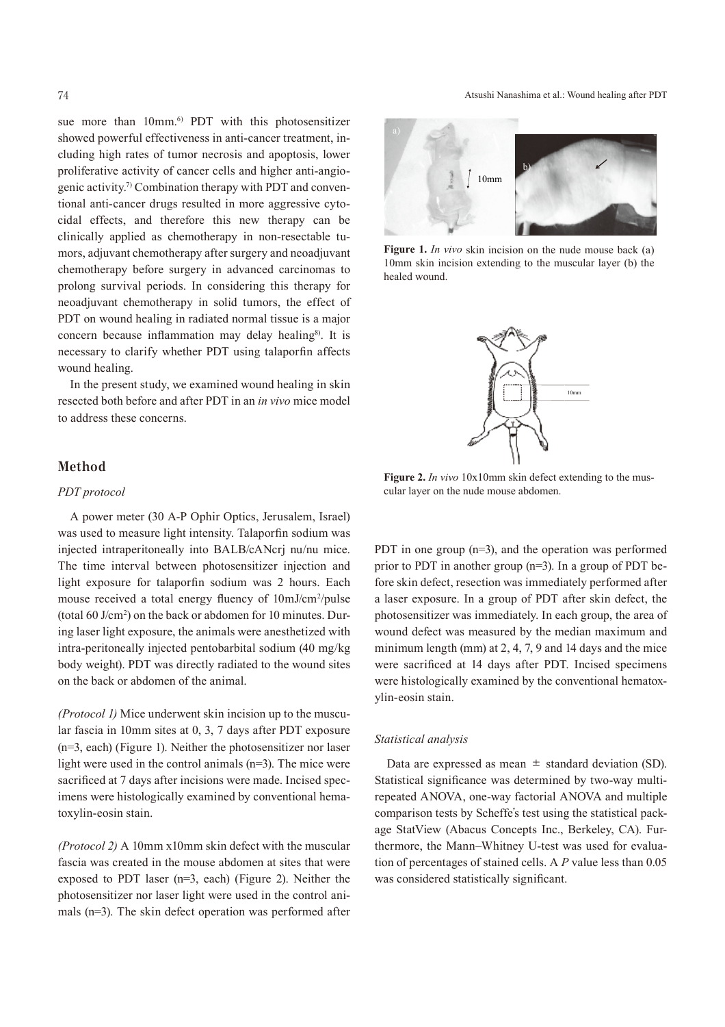sue more than 10mm. 6) PDT with this photosensitizer showed powerful effectiveness in anti-cancer treatment, including high rates of tumor necrosis and apoptosis, lower proliferative activity of cancer cells and higher anti-angiogenic activity. 7) Combination therapy with PDT and conventional anti-cancer drugs resulted in more aggressive cytocidal effects, and therefore this new therapy can be clinically applied as chemotherapy in non-resectable tumors, adjuvant chemotherapy after surgery and neoadjuvant chemotherapy before surgery in advanced carcinomas to prolong survival periods. In considering this therapy for neoadjuvant chemotherapy in solid tumors, the effect of PDT on wound healing in radiated normal tissue is a major concern because inflammation may delay healing<sup>8)</sup>. It is necessary to clarify whether PDT using talaporfin affects wound healing.

In the present study, we examined wound healing in skin resected both before and after PDT in an *in vivo* mice model to address these concerns.

### **Method**

#### *PDT protocol*

A power meter (30 A-P Ophir Optics, Jerusalem, Israel) was used to measure light intensity. Talaporfin sodium was injected intraperitoneally into BALB/cANcrj nu/nu mice. The time interval between photosensitizer injection and light exposure for talaporfin sodium was 2 hours. Each mouse received a total energy fluency of  $10 \text{mJ/cm}^2/\text{pulse}$ (total 60 J/cm2 ) on the back or abdomen for 10 minutes. During laser light exposure, the animals were anesthetized with intra-peritoneally injected pentobarbital sodium (40 mg/kg body weight). PDT was directly radiated to the wound sites on the back or abdomen of the animal.

*(Protocol 1)* Mice underwent skin incision up to the muscular fascia in 10mm sites at 0, 3, 7 days after PDT exposure (n=3, each) (Figure 1). Neither the photosensitizer nor laser light were used in the control animals (n=3). The mice were sacrificed at 7 days after incisions were made. Incised specimens were histologically examined by conventional hematoxylin-eosin stain.

*(Protocol 2)* A 10mm x10mm skin defect with the muscular fascia was created in the mouse abdomen at sites that were exposed to PDT laser (n=3, each) (Figure 2). Neither the photosensitizer nor laser light were used in the control animals (n=3). The skin defect operation was performed after

#### 74 Atsushi Nanashima et al.: Wound healing after PDT



**Figure 1.** *In vivo* skin incision on the nude mouse back (a) 10mm skin incision extending to the muscular layer (b) the healed wound.



Figure 2. *In vivo* 10x10mm skin defect extending to the muscular layer on the nude mouse abdomen.

PDT in one group (n=3), and the operation was performed prior to PDT in another group (n=3). In a group of PDT before skin defect, resection was immediately performed after a laser exposure. In a group of PDT after skin defect, the photosensitizer was immediately. In each group, the area of wound defect was measured by the median maximum and minimum length (mm) at 2, 4, 7, 9 and 14 days and the mice were sacrificed at 14 days after PDT. Incised specimens were histologically examined by the conventional hematoxylin-eosin stain.

#### *Statistical analysis*

Data are expressed as mean  $\pm$  standard deviation (SD). Statistical significance was determined by two-way multirepeated ANOVA, one-way factorial ANOVA and multiple comparison tests by Scheffe's test using the statistical package StatView (Abacus Concepts Inc., Berkeley, CA). Furthermore, the Mann–Whitney U-test was used for evaluation of percentages of stained cells. A *P* value less than 0.05 was considered statistically significant.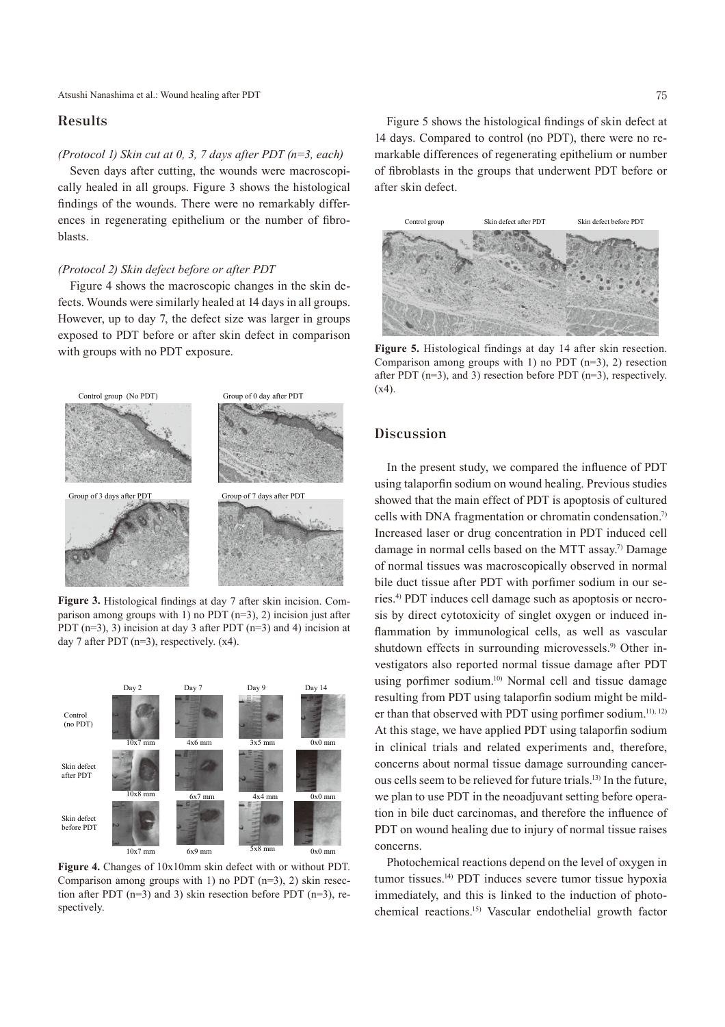### **Results**

#### *(Protocol 1) Skin cut at 0, 3, 7 days after PDT (n=3, each)*

Seven days after cutting, the wounds were macroscopically healed in all groups. Figure 3 shows the histological findings of the wounds. There were no remarkably differences in regenerating epithelium or the number of fibroblasts.

#### *(Protocol 2) Skin defect before or after PDT*

Figure 4 shows the macroscopic changes in the skin defects. Wounds were similarly healed at 14 days in all groups. However, up to day 7, the defect size was larger in groups exposed to PDT before or after skin defect in comparison with groups with no PDT exposure.



**Figure 3.** Histological findings at day 7 after skin incision. Comparison among groups with 1) no PDT  $(n=3)$ , 2) incision just after PDT  $(n=3)$ , 3) incision at day 3 after PDT  $(n=3)$  and 4) incision at day 7 after PDT  $(n=3)$ , respectively.  $(x4)$ .



**Figure 4.** Changes of 10x10mm skin defect with or without PDT. Comparison among groups with 1) no PDT (n=3), 2) skin resection after PDT (n=3) and 3) skin resection before PDT (n=3), respectively.

Figure 5 shows the histological findings of skin defect at 14 days. Compared to control (no PDT), there were no remarkable differences of regenerating epithelium or number of fibroblasts in the groups that underwent PDT before or after skin defect.



**Figure 5.** Histological findings at day 14 after skin resection. Comparison among groups with 1) no PDT  $(n=3)$ , 2) resection after PDT (n=3), and 3) resection before PDT (n=3), respectively.  $(x4)$ .

# **Discussion**

In the present study, we compared the influence of PDT using talaporfin sodium on wound healing. Previous studies showed that the main effect of PDT is apoptosis of cultured cells with DNA fragmentation or chromatin condensation. 7) Increased laser or drug concentration in PDT induced cell damage in normal cells based on the MTT assay. 7) Damage of normal tissues was macroscopically observed in normal bile duct tissue after PDT with porfimer sodium in our series. 4) PDT induces cell damage such as apoptosis or necrosis by direct cytotoxicity of singlet oxygen or induced inflammation by immunological cells, as well as vascular shutdown effects in surrounding microvessels.<sup>9</sup> Other investigators also reported normal tissue damage after PDT using porfimer sodium. 10) Normal cell and tissue damage resulting from PDT using talaporfin sodium might be milder than that observed with PDT using porfimer sodium.<sup>11), 12)</sup> At this stage, we have applied PDT using talaporfin sodium in clinical trials and related experiments and, therefore, concerns about normal tissue damage surrounding cancerous cells seem to be relieved for future trials. 13) In the future, we plan to use PDT in the neoadjuvant setting before operation in bile duct carcinomas, and therefore the influence of PDT on wound healing due to injury of normal tissue raises concerns.

Photochemical reactions depend on the level of oxygen in tumor tissues. 14) PDT induces severe tumor tissue hypoxia immediately, and this is linked to the induction of photochemical reactions. 15) Vascular endothelial growth factor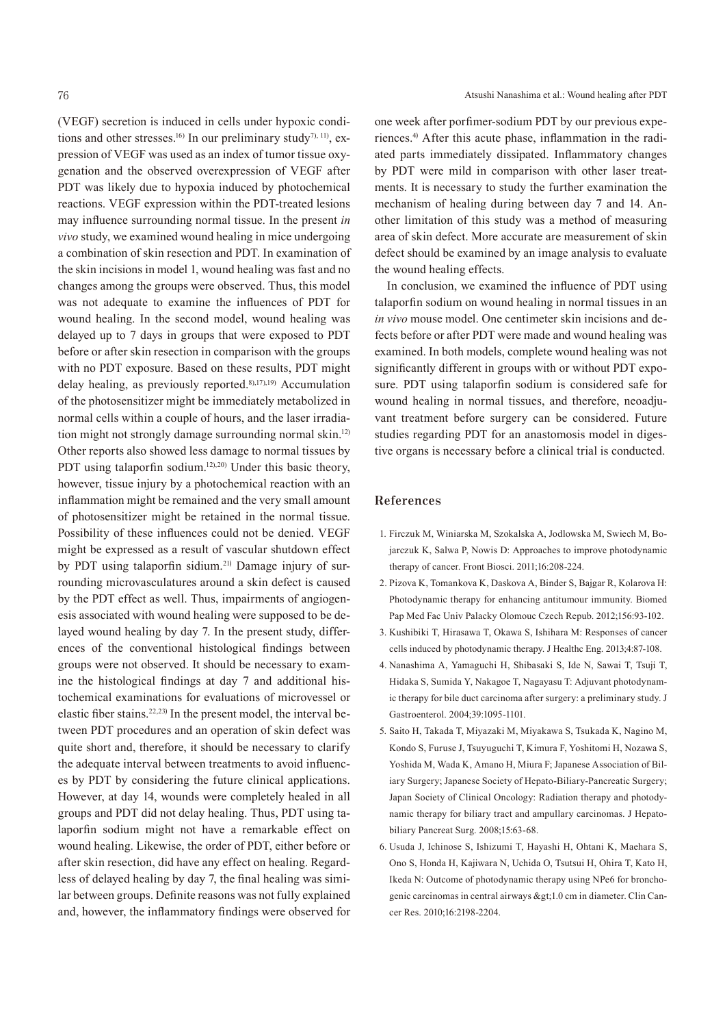(VEGF) secretion is induced in cells under hypoxic conditions and other stresses.<sup>16)</sup> In our preliminary study<sup>7), 11</sup>, expression of VEGF was used as an index of tumor tissue oxygenation and the observed overexpression of VEGF after PDT was likely due to hypoxia induced by photochemical reactions. VEGF expression within the PDT-treated lesions may influence surrounding normal tissue. In the present *in vivo* study, we examined wound healing in mice undergoing a combination of skin resection and PDT. In examination of the skin incisions in model 1, wound healing was fast and no changes among the groups were observed. Thus, this model was not adequate to examine the influences of PDT for wound healing. In the second model, wound healing was delayed up to 7 days in groups that were exposed to PDT before or after skin resection in comparison with the groups with no PDT exposure. Based on these results, PDT might delay healing, as previously reported. 8),17),19) Accumulation of the photosensitizer might be immediately metabolized in normal cells within a couple of hours, and the laser irradiation might not strongly damage surrounding normal skin.<sup>12)</sup> Other reports also showed less damage to normal tissues by PDT using talaporfin sodium.<sup>12),20</sup>) Under this basic theory, however, tissue injury by a photochemical reaction with an inflammation might be remained and the very small amount of photosensitizer might be retained in the normal tissue. Possibility of these influences could not be denied. VEGF might be expressed as a result of vascular shutdown effect by PDT using talaporfin sidium. <sup>21</sup>) Damage injury of surrounding microvasculatures around a skin defect is caused by the PDT effect as well. Thus, impairments of angiogenesis associated with wound healing were supposed to be delayed wound healing by day 7. In the present study, differences of the conventional histological findings between groups were not observed. It should be necessary to examine the histological findings at day 7 and additional histochemical examinations for evaluations of microvessel or elastic fiber stains. 22,23) In the present model, the interval between PDT procedures and an operation of skin defect was quite short and, therefore, it should be necessary to clarify the adequate interval between treatments to avoid influences by PDT by considering the future clinical applications. However, at day 14, wounds were completely healed in all groups and PDT did not delay healing. Thus, PDT using talaporfin sodium might not have a remarkable effect on wound healing. Likewise, the order of PDT, either before or after skin resection, did have any effect on healing. Regardless of delayed healing by day 7, the final healing was similar between groups. Definite reasons was not fully explained and, however, the inflammatory findings were observed for

one week after porfimer-sodium PDT by our previous experiences. <sup>4</sup>) After this acute phase, inflammation in the radiated parts immediately dissipated. Inflammatory changes by PDT were mild in comparison with other laser treatments. It is necessary to study the further examination the mechanism of healing during between day 7 and 14. Another limitation of this study was a method of measuring area of skin defect. More accurate are measurement of skin defect should be examined by an image analysis to evaluate the wound healing effects.

In conclusion, we examined the influence of PDT using talaporfin sodium on wound healing in normal tissues in an *in vivo* mouse model. One centimeter skin incisions and defects before or after PDT were made and wound healing was examined. In both models, complete wound healing was not significantly different in groups with or without PDT exposure. PDT using talaporfin sodium is considered safe for wound healing in normal tissues, and therefore, neoadjuvant treatment before surgery can be considered. Future studies regarding PDT for an anastomosis model in digestive organs is necessary before a clinical trial is conducted.

## **References**

- 1. Firczuk M, Winiarska M, Szokalska A, Jodlowska M, Swiech M, Bojarczuk K, Salwa P, Nowis D: Approaches to improve photodynamic therapy of cancer. Front Biosci. 2011;16:208-224.
- 2. Pizova K, Tomankova K, Daskova A, Binder S, Bajgar R, Kolarova H: Photodynamic therapy for enhancing antitumour immunity. Biomed Pap Med Fac Univ Palacky Olomouc Czech Repub. 2012;156:93-102.
- 3. Kushibiki T, Hirasawa T, Okawa S, Ishihara M: Responses of cancer cells induced by photodynamic therapy. J Healthc Eng. 2013;4:87-108.
- 4. Nanashima A, Yamaguchi H, Shibasaki S, Ide N, Sawai T, Tsuji T, Hidaka S, Sumida Y, Nakagoe T, Nagayasu T: Adjuvant photodynamic therapy for bile duct carcinoma after surgery: a preliminary study. J Gastroenterol. 2004;39:1095-1101.
- 5. Saito H, Takada T, Miyazaki M, Miyakawa S, Tsukada K, Nagino M, Kondo S, Furuse J, Tsuyuguchi T, Kimura F, Yoshitomi H, Nozawa S, Yoshida M, Wada K, Amano H, Miura F; Japanese Association of Biliary Surgery; Japanese Society of Hepato-Biliary-Pancreatic Surgery; Japan Society of Clinical Oncology: Radiation therapy and photodynamic therapy for biliary tract and ampullary carcinomas. J Hepatobiliary Pancreat Surg. 2008;15:63-68.
- 6. Usuda J, Ichinose S, Ishizumi T, Hayashi H, Ohtani K, Maehara S, Ono S, Honda H, Kajiwara N, Uchida O, Tsutsui H, Ohira T, Kato H, Ikeda N: Outcome of photodynamic therapy using NPe6 for bronchogenic carcinomas in central airways >1.0 cm in diameter. Clin Cancer Res. 2010;16:2198-2204.